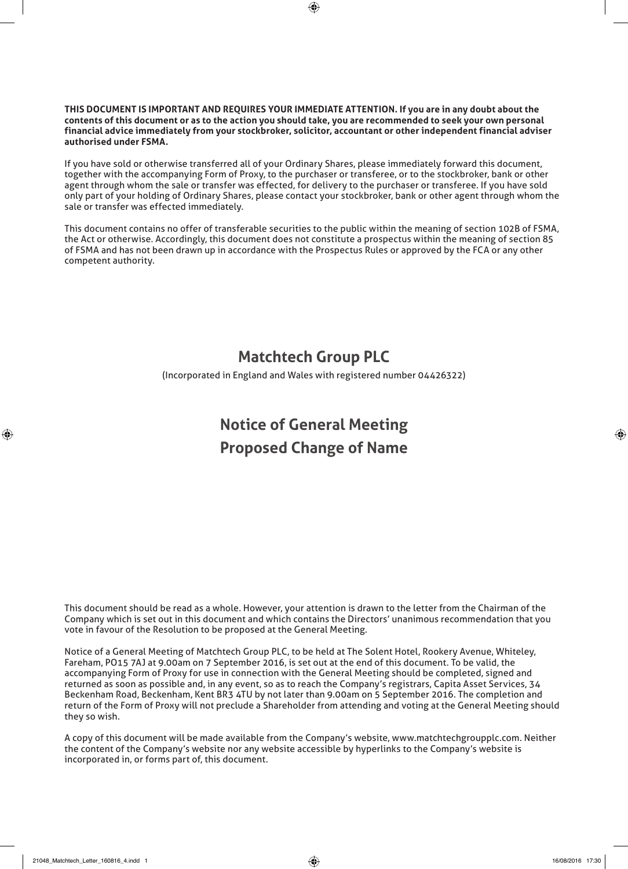#### **THIS DOCUMENT IS IMPORTANT AND REQUIRES YOUR IMMEDIATE ATTENTION. If you are in any doubt about the contents of this document or as to the action you should take, you are recommended to seek your own personal financial advice immediately from your stockbroker, solicitor, accountant or other independent financial adviser authorised under FSMA.**

If you have sold or otherwise transferred all of your Ordinary Shares, please immediately forward this document, together with the accompanying Form of Proxy, to the purchaser or transferee, or to the stockbroker, bank or other agent through whom the sale or transfer was effected, for delivery to the purchaser or transferee. If you have sold only part of your holding of Ordinary Shares, please contact your stockbroker, bank or other agent through whom the sale or transfer was effected immediately.

This document contains no offer of transferable securities to the public within the meaning of section 102B of FSMA, the Act or otherwise. Accordingly, this document does not constitute a prospectus within the meaning of section 85 of FSMA and has not been drawn up in accordance with the Prospectus Rules or approved by the FCA or any other competent authority.

# **Matchtech Group PLC**

(Incorporated in England and Wales with registered number 04426322)

# **Notice of General Meeting Proposed Change of Name**

This document should be read as a whole. However, your attention is drawn to the letter from the Chairman of the Company which is set out in this document and which contains the Directors' unanimous recommendation that you vote in favour of the Resolution to be proposed at the General Meeting.

Notice of a General Meeting of Matchtech Group PLC, to be held at The Solent Hotel, Rookery Avenue, Whiteley, Fareham, PO15 7AJ at 9.00am on 7 September 2016, is set out at the end of this document. To be valid, the accompanying Form of Proxy for use in connection with the General Meeting should be completed, signed and returned as soon as possible and, in any event, so as to reach the Company's registrars, Capita Asset Services, 34 Beckenham Road, Beckenham, Kent BR3 4TU by not later than 9.00am on 5 September 2016. The completion and return of the Form of Proxy will not preclude a Shareholder from attending and voting at the General Meeting should they so wish.

A copy of this document will be made available from the Company's website, www.matchtechgroupplc.com. Neither the content of the Company's website nor any website accessible by hyperlinks to the Company's website is incorporated in, or forms part of, this document.

◈

◈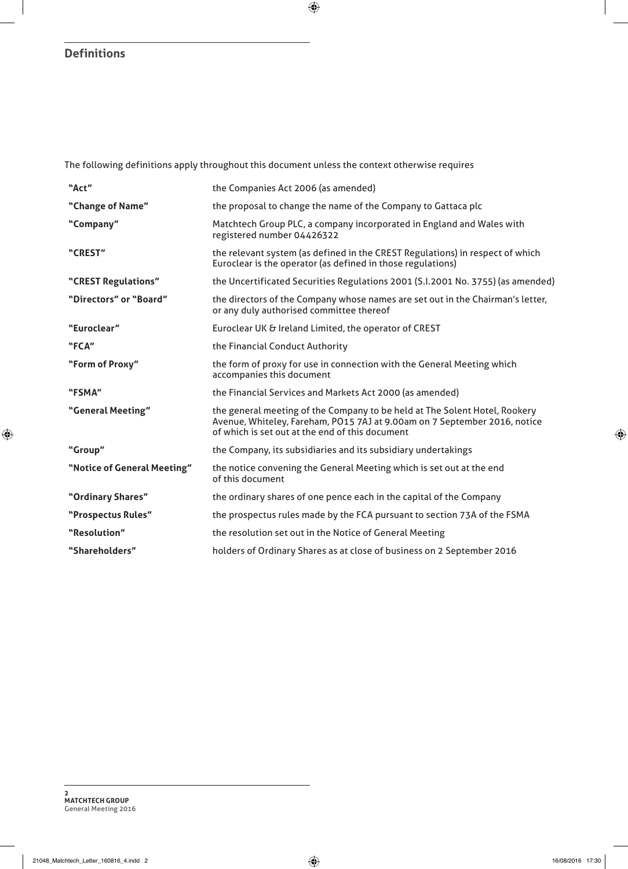## **Definitions**

 $\bigoplus$ 

The following definitions apply throughout this document unless the context otherwise requires

| "Act"                       | the Companies Act 2006 (as amended)                                                                                                                                                                        |
|-----------------------------|------------------------------------------------------------------------------------------------------------------------------------------------------------------------------------------------------------|
| "Change of Name"            | the proposal to change the name of the Company to Gattaca plc                                                                                                                                              |
| "Company"                   | Matchtech Group PLC, a company incorporated in England and Wales with<br>registered number 04426322                                                                                                        |
| "CREST"                     | the relevant system (as defined in the CREST Regulations) in respect of which<br>Euroclear is the operator (as defined in those regulations)                                                               |
| "CREST Regulations"         | the Uncertificated Securities Regulations 2001 (S.I.2001 No. 3755) (as amended)                                                                                                                            |
| "Directors" or "Board"      | the directors of the Company whose names are set out in the Chairman's letter,<br>or any duly authorised committee thereof                                                                                 |
| "Euroclear"                 | Euroclear UK & Ireland Limited, the operator of CREST                                                                                                                                                      |
| "FCA"                       | the Financial Conduct Authority                                                                                                                                                                            |
| "Form of Proxy"             | the form of proxy for use in connection with the General Meeting which<br>accompanies this document                                                                                                        |
| "FSMA"                      | the Financial Services and Markets Act 2000 (as amended)                                                                                                                                                   |
| "General Meeting"           | the general meeting of the Company to be held at The Solent Hotel, Rookery<br>Avenue, Whiteley, Fareham, PO15 7AJ at 9.00am on 7 September 2016, notice<br>of which is set out at the end of this document |
| "Group"                     | the Company, its subsidiaries and its subsidiary undertakings                                                                                                                                              |
| "Notice of General Meeting" | the notice convening the General Meeting which is set out at the end<br>of this document                                                                                                                   |
| "Ordinary Shares"           | the ordinary shares of one pence each in the capital of the Company                                                                                                                                        |
| "Prospectus Rules"          | the prospectus rules made by the FCA pursuant to section 73A of the FSMA                                                                                                                                   |
| "Resolution"                | the resolution set out in the Notice of General Meeting                                                                                                                                                    |
| "Shareholders"              | holders of Ordinary Shares as at close of business on 2 September 2016                                                                                                                                     |

 $\bigoplus$ 

 $\bigoplus$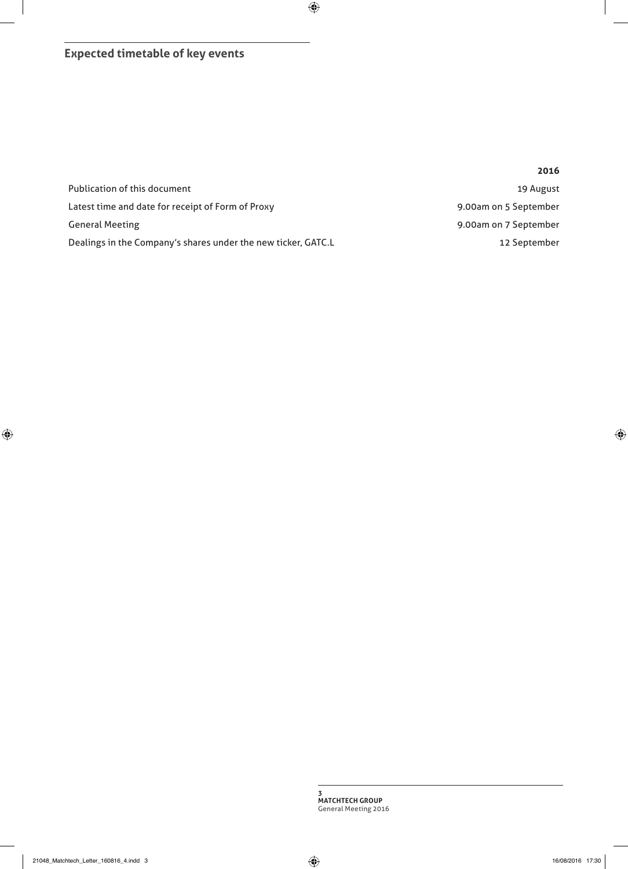**Expected timetable of key events**

|                                                               | 2016                  |
|---------------------------------------------------------------|-----------------------|
| Publication of this document                                  | 19 August             |
| Latest time and date for receipt of Form of Proxy             | 9.00am on 5 September |
| <b>General Meeting</b>                                        | 9.00am on 7 September |
| Dealings in the Company's shares under the new ticker, GATC.L | 12 September          |

 $\bigoplus$ 

**3 MATCHTECH GROUP**  General Meeting 2016

 $\bigoplus$ 

 $\bigoplus$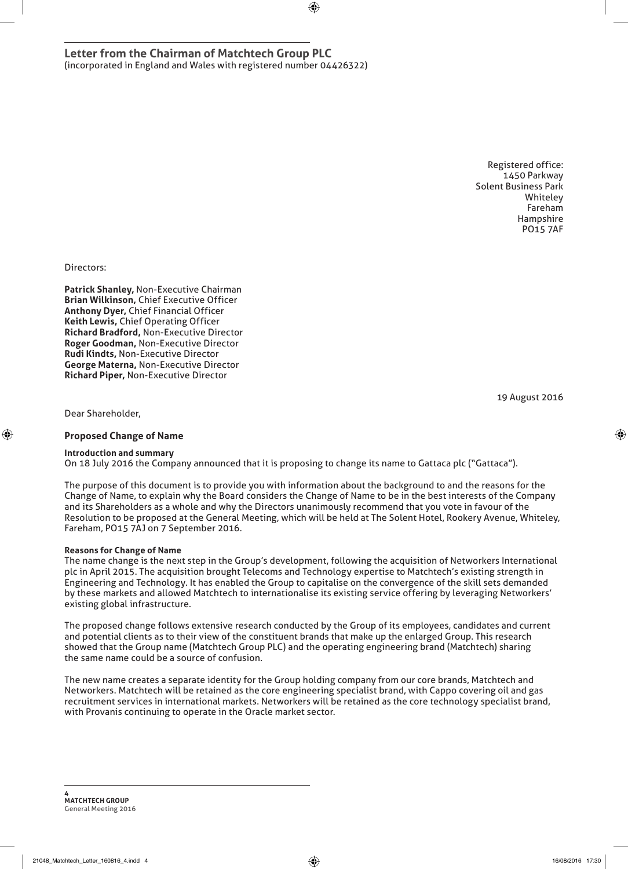**Letter from the Chairman of Matchtech Group PLC**  (incorporated in England and Wales with registered number 04426322)

> Registered office: 1450 Parkway Solent Business Park Whiteley Fareham Hampshire PO15 7AF

Directors:

**Patrick Shanley,** Non-Executive Chairman **Brian Wilkinson,** Chief Executive Officer **Anthony Dyer,** Chief Financial Officer **Keith Lewis,** Chief Operating Officer **Richard Bradford,** Non-Executive Director **Roger Goodman,** Non-Executive Director **Rudi Kindts,** Non-Executive Director **George Materna,** Non-Executive Director **Richard Piper,** Non-Executive Director

19 August 2016

◈

Dear Shareholder,

◈

#### **Proposed Change of Name**

#### **Introduction and summary**

On 18 July 2016 the Company announced that it is proposing to change its name to Gattaca plc ("Gattaca").

The purpose of this document is to provide you with information about the background to and the reasons for the Change of Name, to explain why the Board considers the Change of Name to be in the best interests of the Company and its Shareholders as a whole and why the Directors unanimously recommend that you vote in favour of the Resolution to be proposed at the General Meeting, which will be held at The Solent Hotel, Rookery Avenue, Whiteley, Fareham, PO15 7AJ on 7 September 2016.

⊕

#### **Reasons for Change of Name**

The name change is the next step in the Group's development, following the acquisition of Networkers International plc in April 2015. The acquisition brought Telecoms and Technology expertise to Matchtech's existing strength in Engineering and Technology. It has enabled the Group to capitalise on the convergence of the skill sets demanded by these markets and allowed Matchtech to internationalise its existing service offering by leveraging Networkers' existing global infrastructure.

The proposed change follows extensive research conducted by the Group of its employees, candidates and current and potential clients as to their view of the constituent brands that make up the enlarged Group. This research showed that the Group name (Matchtech Group PLC) and the operating engineering brand (Matchtech) sharing the same name could be a source of confusion.

The new name creates a separate identity for the Group holding company from our core brands, Matchtech and Networkers. Matchtech will be retained as the core engineering specialist brand, with Cappo covering oil and gas recruitment services in international markets. Networkers will be retained as the core technology specialist brand, with Provanis continuing to operate in the Oracle market sector.

**4 MATCHTECH GROUP**  General Meeting 2016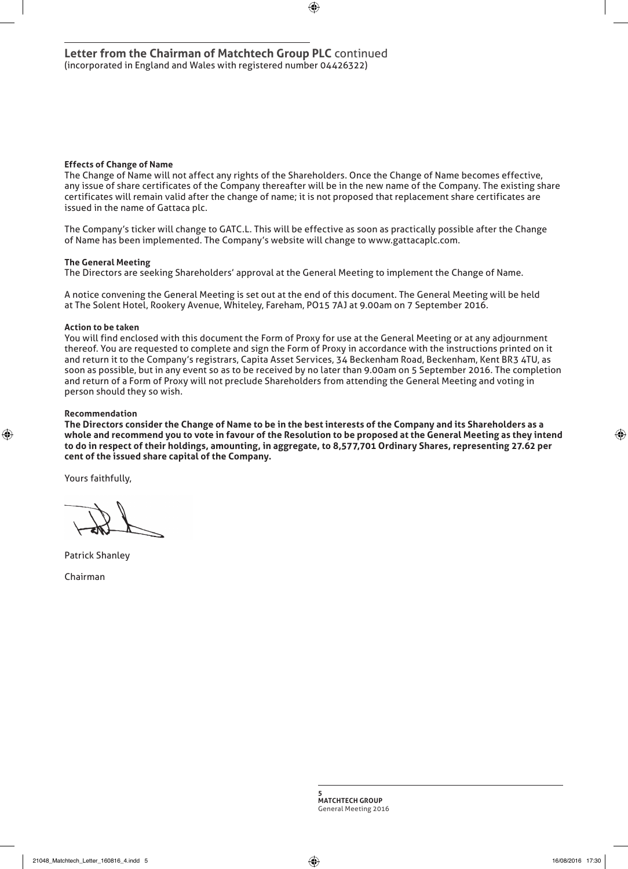#### **Effects of Change of Name**

The Change of Name will not affect any rights of the Shareholders. Once the Change of Name becomes effective, any issue of share certificates of the Company thereafter will be in the new name of the Company. The existing share certificates will remain valid after the change of name; it is not proposed that replacement share certificates are issued in the name of Gattaca plc.

⊕

The Company's ticker will change to GATC.L. This will be effective as soon as practically possible after the Change of Name has been implemented. The Company's website will change to www.gattacaplc.com.

#### **The General Meeting**

The Directors are seeking Shareholders' approval at the General Meeting to implement the Change of Name.

A notice convening the General Meeting is set out at the end of this document. The General Meeting will be held at The Solent Hotel, Rookery Avenue, Whiteley, Fareham, PO15 7AJ at 9.00am on 7 September 2016.

#### **Action to be taken**

You will find enclosed with this document the Form of Proxy for use at the General Meeting or at any adjournment thereof. You are requested to complete and sign the Form of Proxy in accordance with the instructions printed on it and return it to the Company's registrars, Capita Asset Services, 34 Beckenham Road, Beckenham, Kent BR3 4TU, as soon as possible, but in any event so as to be received by no later than 9.00am on 5 September 2016. The completion and return of a Form of Proxy will not preclude Shareholders from attending the General Meeting and voting in person should they so wish.

#### **Recommendation**

◈

**The Directors consider the Change of Name to be in the best interests of the Company and its Shareholders as a whole and recommend you to vote in favour of the Resolution to be proposed at the General Meeting as they intend to do in respect of their holdings, amounting, in aggregate, to 8,577,701 Ordinary Shares, representing 27.62 per cent of the issued share capital of the Company.**

Yours faithfully,

Patrick Shanley

Chairman

**5 MATCHTECH GROUP**  General Meeting 2016 ◈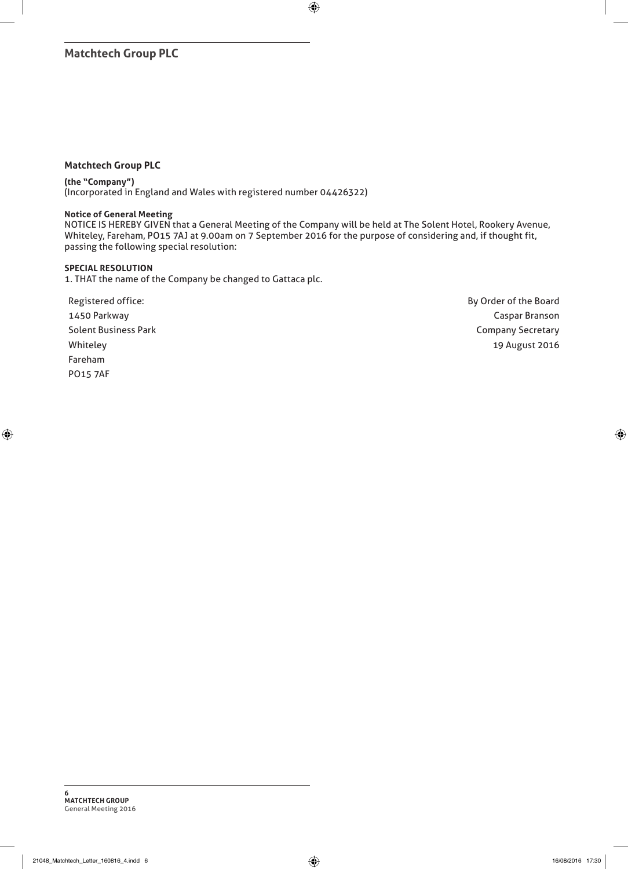## **Matchtech Group PLC**

### **Matchtech Group PLC**

#### **(the "Company")**

(Incorporated in England and Wales with registered number 04426322)

### **Notice of General Meeting**

NOTICE IS HEREBY GIVEN that a General Meeting of the Company will be held at The Solent Hotel, Rookery Avenue, Whiteley, Fareham, PO15 7AJ at 9.00am on 7 September 2016 for the purpose of considering and, if thought fit, passing the following special resolution:

 $\bigoplus$ 

#### **SPECIAL RESOLUTION**

 $\bigoplus$ 

1. THAT the name of the Company be changed to Gattaca plc.

Registered office: and the Board Registered office: 1450 Parkway Caspar Branson Solent Business Park Company Secretary and Solent Business Park Company Secretary Whiteley 2016 Fareham PO15 7AF

⊕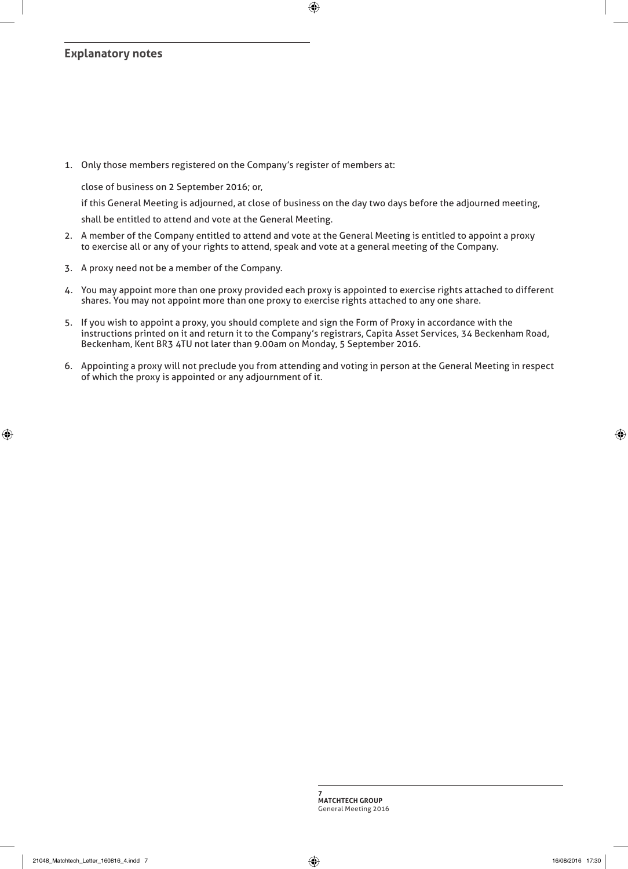## **Explanatory notes**

1. Only those members registered on the Company's register of members at:

close of business on 2 September 2016; or,

if this General Meeting is adjourned, at close of business on the day two days before the adjourned meeting,

shall be entitled to attend and vote at the General Meeting.

- 2. A member of the Company entitled to attend and vote at the General Meeting is entitled to appoint a proxy to exercise all or any of your rights to attend, speak and vote at a general meeting of the Company.
- 3. A proxy need not be a member of the Company.
- 4. You may appoint more than one proxy provided each proxy is appointed to exercise rights attached to different shares. You may not appoint more than one proxy to exercise rights attached to any one share.
- 5. If you wish to appoint a proxy, you should complete and sign the Form of Proxy in accordance with the instructions printed on it and return it to the Company's registrars, Capita Asset Services, 34 Beckenham Road, Beckenham, Kent BR3 4TU not later than 9.00am on Monday, 5 September 2016.
- 6. Appointing a proxy will not preclude you from attending and voting in person at the General Meeting in respect of which the proxy is appointed or any adjournment of it.

⊕

◈

◈